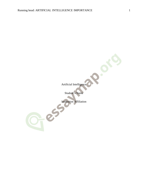$2e^{5}$ 

Artificial Intelligence

Student's Name

Institution Affiliation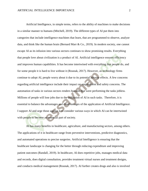Artificial Intelligence, in simple terms, refers to the ability of machines to make decisions in a similar manner to humans (Mitchell, 2019). The different types of AI put them into categories that include intelligence machines that learn, that are programmed to observe, analyze data, and think like the human brain (Bernard Marr & Co., 2019). In modern society, one cannot escape AI as its infusion into various sectors continues to show promising results. Everything that people love about civilization is a product of AI. Artificial intelligence ensures efficiency and improves human capabilities. It has become intertwined with everything that people do, and for some people it is hard to live without it (Rounak, 2017). However, as technology firms continue to adopt AI, people worry about it due to its potential adverse effects. A few concerns regarding artificial intelligence include their impact on employment and safety concerns. The automation of tasks in various sectors renders humans that were performing the tasks jobless. Millions of people will lose jobs due to the utilization of AI in such tasks. Therefore, it is essential to balance the advantages and disadvantages of the application of Artificial Intelligence. I support AI and urge those against it to consider various ways in which AI can be intertwined with people to become an essential part of society.

AI has many benefits in healthcare, agriculture, and manufacturing sectors, among others. The applications of it in healthcare range from preventive interventions, predictive diagnostics, and automated operations to precise surgeries. Artificial Intelligence is ensuring that the healthcare landscape is changing for the better through reducing expenditure and improving patient outcomes (Randall, 2019). In healthcare, AI does repetitive jobs, manages medical data and records, does digital consultation, provides treatment virtual nurses and treatment designs, and conducts medical management (Rounak, 2017). AI further creates drugs and also is involved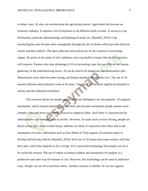in others' uses. AI also can revolutionize the agricultural sector. Agriculture has become an extensive industry. It requires a lot of machines to do different kinds of tasks. It assists in crop fertilization, pesticide administering, and planting of seeds, etc. (Randall, 2019). Crop monitoring has also become more manageable through the use of drones which provide effective results and data analysis. The data collection and analysis by AI are essential in increasing output. AI assists in the study of soil conditions and crop health to ensure that the final product will improve. Farmers also take advantage of AI in harvesting crops that are difficult for human gathering. In the manufacturing sector, AI can be used to do dangerous and monotonous jobs. Monotonous work often becomes boring, and human productivity becomes low. The use of AI ensures efficient and productive work at all times. Therefore, AI has more significant benefits to society and the industrial revolution.

The concerns shown by people against artificial intelligence are also genuine. AI supports automation, which impacts human labor. As more jobs become automated, people assume more complex roles and move away from physical to cognitive labor. Such labor is characterized by administrative and strategic work in society. However, for tasks such as truck driving, people are likely to lose jobs. In the United States, millions are likely to experience this effect due to the automation of trucks. Individuals such as Elon Musk of Tesla support AI and have plans to develop self-driving vehicles (Randall, 2019). Such use of AI means that many workers will lose their jobs, which they depend on for a living. AI is a powerful technology that people can use it for nefarious reasons. The use of robots as human soldiers and automation of weapons is a productive and safer way for humans in war. However, this technology can be used in malicious ways. People can use AI to terrorize others. Another concern is whether AI can turn against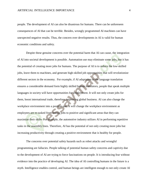people. The development of AI can also be disastrous for humans. There can be unforeseen consequences of AI that can be terrible. Besides, wrongly programmed AI machines can have unexpected negative results. Thus, the concern over developments in AI is valid for human economic conditions and safety.

Despite these genuine concerns over the potential harm that AI can cause, the integration of AI into societal development is possible. Automation use may eliminate some jobs, but it has the potential of creating more jobs for humans. The purpose of AI is to reduce the low-skilled jobs, leave them to machines, and generate high-skilled job opportunities that will revolutionize different sectors in the economy. For example, if AI adaptation to the language translation ensures a considerable demand form highly skilled human translators, people that speak multiple languages in society will have opportunities for employment. It will not only create jobs for them, boost international trade, therefore, improving global business. AI can also change the workplace environment into a positive one. It will change the workplace environment as employees are re-tasked from boring jobs to positive and significant areas that they can maximize their skills. For example, the automotive industry utilizes AI in performing repetitive tasks in the assembly lines. Therefore, AI has the potential of not only creating more jobs but increasing productivity through creating a positive environment that is healthy for people.

The concerns over potential safety hazards such as robot attacks and wrongful programming are fallacies. People talking of potential human safety concerns and captivity due to the development of AI are trying to force fascinations on people. It is introducing fear without evidence into the practice of developing AI. The idea of AI controlling humans in the future is a myth. Intelligence enables control, and human beings are intelligent enough to not only create AI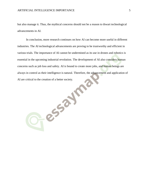but also manage it. Thus, the mythical concerns should not be a reason to thwart technological advancements in AI.

In conclusion, more research continues on how AI can become more useful in different industries. The AI technological advancements are proving to be trustworthy and efficient in various trials. The importance of AI cannot be undermined as its use in drones and robotics is essential in the upcoming industrial revolution. The development of AI also considers human concerns such as job loss and safety. AI is bound to create more jobs, and human beings are always in control as their intelligence is natural. Therefore, the advancement and application of AI are critical to the creation of a better society. AI are critical to the creation of a better society.